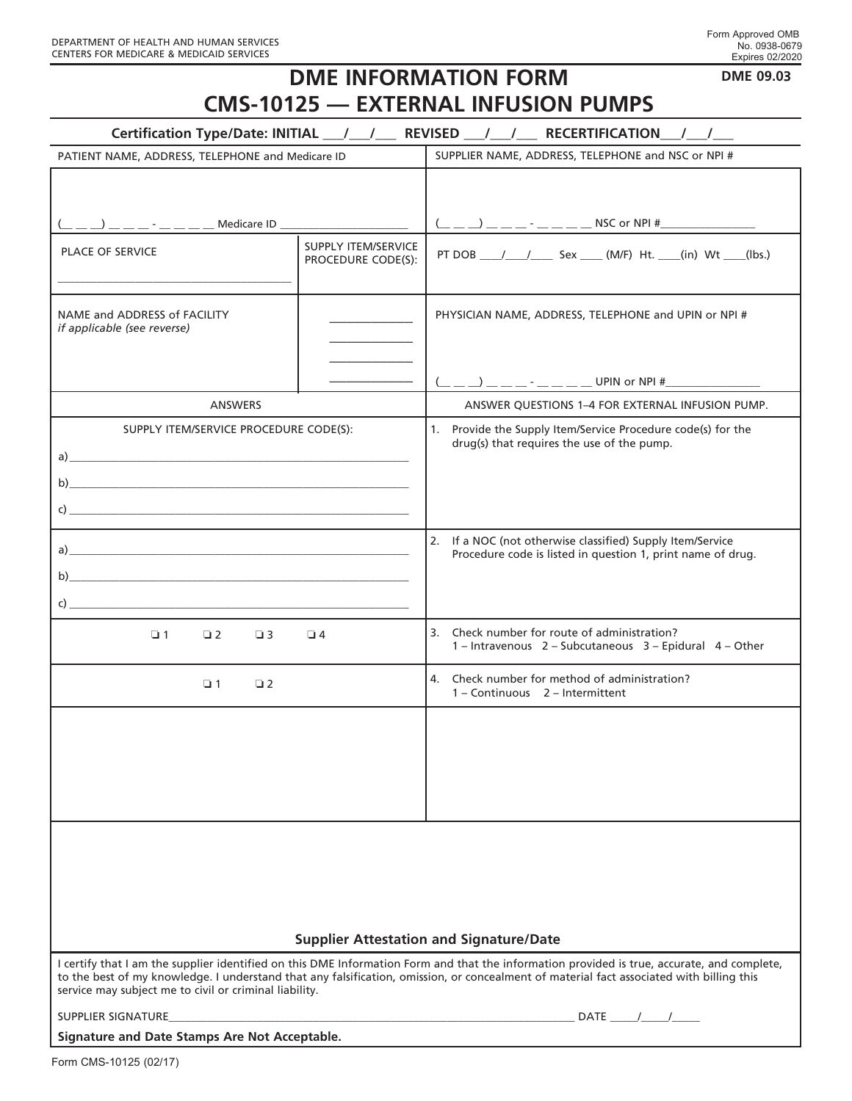## **DME INFORMATION FORM CMS-10125 — EXTERNAL INFUSION PUMPS**

|  | <b>DME 09.03</b> |
|--|------------------|
|--|------------------|

| Certification Type/Date: INITIAL __/ __/ __ REVISED __/ __/ __ RECERTIFICATION __/ __/                                                                                                                                                                                                                                                            |                                                  |                                                                                                                           |  |
|---------------------------------------------------------------------------------------------------------------------------------------------------------------------------------------------------------------------------------------------------------------------------------------------------------------------------------------------------|--------------------------------------------------|---------------------------------------------------------------------------------------------------------------------------|--|
| PATIENT NAME, ADDRESS, TELEPHONE and Medicare ID                                                                                                                                                                                                                                                                                                  |                                                  | SUPPLIER NAME, ADDRESS, TELEPHONE and NSC or NPI #                                                                        |  |
|                                                                                                                                                                                                                                                                                                                                                   |                                                  |                                                                                                                           |  |
| _ __ __) __ __ _ - __ _ _ _ __ __ Medicare ID __________________________________                                                                                                                                                                                                                                                                  |                                                  |                                                                                                                           |  |
| <b>PLACE OF SERVICE</b>                                                                                                                                                                                                                                                                                                                           | <b>SUPPLY ITEM/SERVICE</b><br>PROCEDURE CODE(S): | PT DOB ____/ ____/ _____ Sex _____ (M/F) Ht. ____(in) Wt ____(lbs.)                                                       |  |
| NAME and ADDRESS of FACILITY<br><i>if applicable (see reverse)</i>                                                                                                                                                                                                                                                                                |                                                  | PHYSICIAN NAME, ADDRESS, TELEPHONE and UPIN or NPI #                                                                      |  |
|                                                                                                                                                                                                                                                                                                                                                   |                                                  |                                                                                                                           |  |
| <b>ANSWERS</b>                                                                                                                                                                                                                                                                                                                                    |                                                  | ANSWER QUESTIONS 1-4 FOR EXTERNAL INFUSION PUMP.                                                                          |  |
| SUPPLY ITEM/SERVICE PROCEDURE CODE(S):<br>$\mathsf{C}$ ) and $\mathsf{C}$ and $\mathsf{C}$ and $\mathsf{C}$ and $\mathsf{C}$ and $\mathsf{C}$ and $\mathsf{C}$ and $\mathsf{C}$ and $\mathsf{C}$ and $\mathsf{C}$ and $\mathsf{C}$ and $\mathsf{C}$ and $\mathsf{C}$ and $\mathsf{C}$ and $\mathsf{C}$ and $\mathsf{C}$ and $\mathsf{C}$ and      |                                                  | 1. Provide the Supply Item/Service Procedure code(s) for the<br>drug(s) that requires the use of the pump.                |  |
| $\mathsf{C}$                                                                                                                                                                                                                                                                                                                                      |                                                  | 2. If a NOC (not otherwise classified) Supply Item/Service<br>Procedure code is listed in question 1, print name of drug. |  |
| $\Box$ 1<br>$\Box$ 2<br>$\Box$ 3                                                                                                                                                                                                                                                                                                                  | $\Box$ 4                                         | 3. Check number for route of administration?<br>1 - Intravenous 2 - Subcutaneous 3 - Epidural 4 - Other                   |  |
| $\Box$ 1<br>$\Box$ 2                                                                                                                                                                                                                                                                                                                              |                                                  | 4. Check number for method of administration?<br>1 - Continuous 2 - Intermittent                                          |  |
|                                                                                                                                                                                                                                                                                                                                                   |                                                  |                                                                                                                           |  |
| <b>Supplier Attestation and Signature/Date</b>                                                                                                                                                                                                                                                                                                    |                                                  |                                                                                                                           |  |
| I certify that I am the supplier identified on this DME Information Form and that the information provided is true, accurate, and complete,<br>to the best of my knowledge. I understand that any falsification, omission, or concealment of material fact associated with billing this<br>service may subject me to civil or criminal liability. |                                                  |                                                                                                                           |  |
| SUPPLIER SIGNATURE<br>DATE $/$ /                                                                                                                                                                                                                                                                                                                  |                                                  |                                                                                                                           |  |
| Signature and Date Stamps Are Not Acceptable.                                                                                                                                                                                                                                                                                                     |                                                  |                                                                                                                           |  |